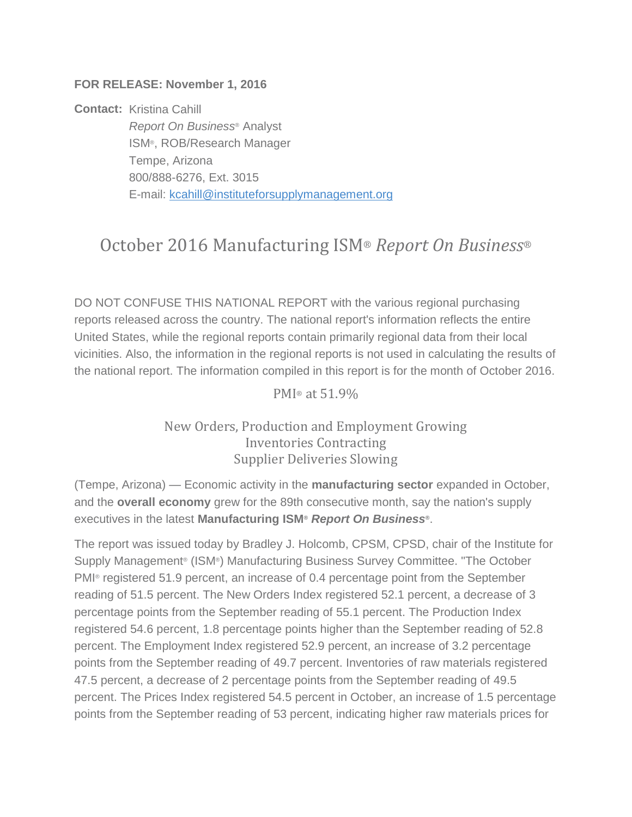## **FOR RELEASE: November 1, 2016**

**Contact:** Kristina Cahill *Report On Business*® Analyst ISM®, ROB/Research Manager Tempe, Arizona 800/888-6276, Ext. 3015 E-mail: [kcahill@instituteforsupplymanagement.org](mailto:kcahill@instituteforsupplymanagement.org)

# October 2016 Manufacturing ISM® *Report On Business*®

DO NOT CONFUSE THIS NATIONAL REPORT with the various regional purchasing reports released across the country. The national report's information reflects the entire United States, while the regional reports contain primarily regional data from their local vicinities. Also, the information in the regional reports is not used in calculating the results of the national report. The information compiled in this report is for the month of October 2016.

PMI® at 51.9%

New Orders, Production and Employment Growing Inventories Contracting Supplier Deliveries Slowing

(Tempe, Arizona) — Economic activity in the **manufacturing sector** expanded in October, and the **overall economy** grew for the 89th consecutive month, say the nation's supply executives in the latest **Manufacturing ISM®** *Report On Business***®**.

The report was issued today by Bradley J. Holcomb, CPSM, CPSD, chair of the Institute for Supply Management® (ISM®) Manufacturing Business Survey Committee. "The October PMI® registered 51.9 percent, an increase of 0.4 percentage point from the September reading of 51.5 percent. The New Orders Index registered 52.1 percent, a decrease of 3 percentage points from the September reading of 55.1 percent. The Production Index registered 54.6 percent, 1.8 percentage points higher than the September reading of 52.8 percent. The Employment Index registered 52.9 percent, an increase of 3.2 percentage points from the September reading of 49.7 percent. Inventories of raw materials registered 47.5 percent, a decrease of 2 percentage points from the September reading of 49.5 percent. The Prices Index registered 54.5 percent in October, an increase of 1.5 percentage points from the September reading of 53 percent, indicating higher raw materials prices for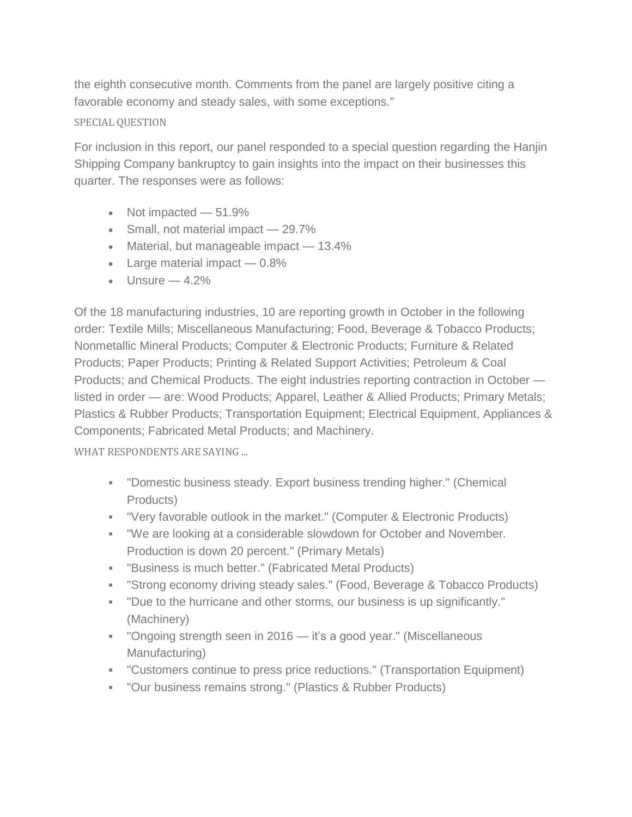the eighth consecutive month. Comments from the panel are largely positive citing a favorable economy and steady sales, with some exceptions."

## SPECIAL QUESTION

For inclusion in this report, our panel responded to a special question regarding the Hanjin Shipping Company bankruptcy to gain insights into the impact on their businesses this quarter. The responses were as follows:

- Not impacted 51.9%
- Small, not material impact 29.7%
- Material, but manageable impact 13.4%
- Large material impact 0.8%
- $-4.2%$

Of the 18 manufacturing industries, 10 are reporting growth in October in the following order: Textile Mills; Miscellaneous Manufacturing; Food, Beverage & Tobacco Products; Nonmetallic Mineral Products; Computer & Electronic Products; Furniture & Related Products; Paper Products; Printing & Related Support Activities; Petroleum & Coal Products; and Chemical Products. The eight industries reporting contraction in October listed in order — are: Wood Products; Apparel, Leather & Allied Products; Primary Metals; Plastics & Rubber Products; Transportation Equipment; Electrical Equipment, Appliances & Components; Fabricated Metal Products; and Machinery.

WHAT RESPONDENTS ARE SAYING ...

- "Domestic business steady. Export business trending higher." (Chemical Products)
- "Very favorable outlook in the market." (Computer & Electronic Products)
- "We are looking at a considerable slowdown for October and November. Production is down 20 percent." (Primary Metals)
- "Business is much better." (Fabricated Metal Products)
- "Strong economy driving steady sales." (Food, Beverage & Tobacco Products)
- "Due to the hurricane and other storms, our business is up significantly." (Machinery)
- "Ongoing strength seen in 2016 it's a good year." (Miscellaneous Manufacturing)
- "Customers continue to press price reductions." (Transportation Equipment)
- "Our business remains strong." (Plastics & Rubber Products)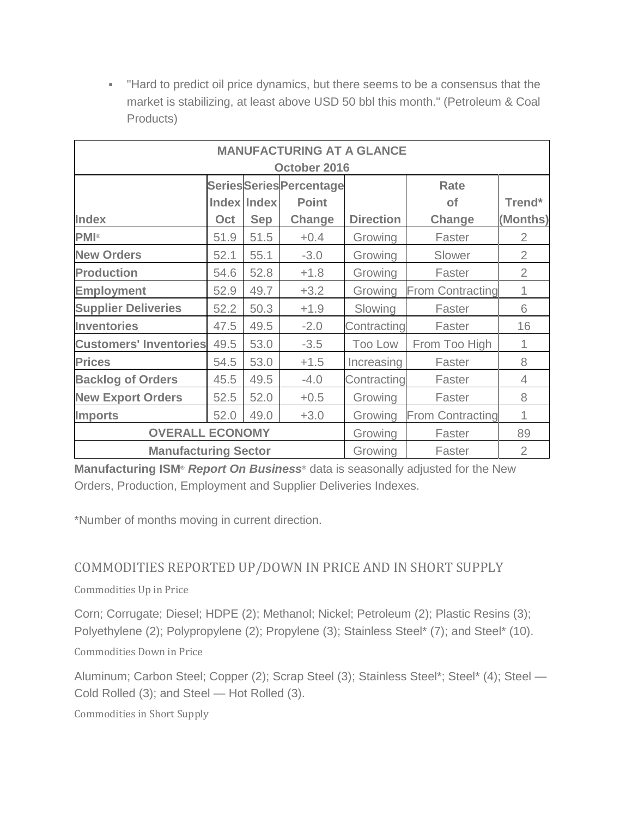"Hard to predict oil price dynamics, but there seems to be a consensus that the market is stabilizing, at least above USD 50 bbl this month." (Petroleum & Coal Products)

|                               |                                   |                    | <b>MANUFACTURING AT A GLANCE</b> |                  |                         |                |  |  |  |  |
|-------------------------------|-----------------------------------|--------------------|----------------------------------|------------------|-------------------------|----------------|--|--|--|--|
| October 2016                  |                                   |                    |                                  |                  |                         |                |  |  |  |  |
|                               |                                   |                    | <b>Series Series Percentage</b>  |                  | <b>Rate</b>             |                |  |  |  |  |
|                               |                                   | <b>Index Index</b> | <b>Point</b>                     |                  | <b>of</b>               | Trend*         |  |  |  |  |
| <b>Index</b>                  | Oct                               | <b>Sep</b>         | Change                           | <b>Direction</b> | Change                  | (Months)       |  |  |  |  |
| <b>PMI®</b>                   | 51.9                              | 51.5               | $+0.4$                           | Growing          | Faster                  | 2              |  |  |  |  |
| <b>New Orders</b>             | 52.1                              | 55.1               | $-3.0$                           | Growing          | Slower                  | $\overline{2}$ |  |  |  |  |
| <b>Production</b>             | 54.6                              | 52.8               | $+1.8$                           | Growing          | Faster                  | 2              |  |  |  |  |
| <b>Employment</b>             | 52.9                              | 49.7               | $+3.2$                           | Growing          | <b>From Contracting</b> | 1              |  |  |  |  |
| <b>Supplier Deliveries</b>    | 52.2                              | 50.3               | $+1.9$                           | Slowing          | Faster                  | 6              |  |  |  |  |
| <b>Inventories</b>            | 47.5                              | 49.5               | $-2.0$                           | Contracting      | Faster                  | 16             |  |  |  |  |
| <b>Customers' Inventories</b> | 49.5                              | 53.0               | $-3.5$                           | Too Low          | From Too High           |                |  |  |  |  |
| <b>Prices</b>                 | 54.5                              | 53.0               | $+1.5$                           | Increasing       | Faster                  | 8              |  |  |  |  |
| <b>Backlog of Orders</b>      | 45.5                              | 49.5               | $-4.0$                           | Contracting      | Faster                  | $\overline{4}$ |  |  |  |  |
| <b>New Export Orders</b>      | 52.5                              | 52.0               | $+0.5$                           | Growing          | Faster                  | 8              |  |  |  |  |
| <b>Imports</b>                | 52.0                              | 49.0               | $+3.0$                           | Growing          | <b>From Contracting</b> | 1              |  |  |  |  |
|                               | <b>OVERALL ECONOMY</b><br>Growing |                    |                                  |                  |                         | 89             |  |  |  |  |
|                               | <b>Manufacturing Sector</b>       |                    |                                  |                  | Faster                  | $\overline{2}$ |  |  |  |  |

**Manufacturing ISM®** *Report On Business***®** data is seasonally adjusted for the New Orders, Production, Employment and Supplier Deliveries Indexes.

\*Number of months moving in current direction.

# COMMODITIES REPORTED UP/DOWN IN PRICE AND IN SHORT SUPPLY

Commodities Up in Price

Corn; Corrugate; Diesel; HDPE (2); Methanol; Nickel; Petroleum (2); Plastic Resins (3); Polyethylene (2); Polypropylene (2); Propylene (3); Stainless Steel\* (7); and Steel\* (10). Commodities Down in Price

Aluminum; Carbon Steel; Copper (2); Scrap Steel (3); Stainless Steel\*; Steel\* (4); Steel — Cold Rolled (3); and Steel — Hot Rolled (3).

Commodities in Short Supply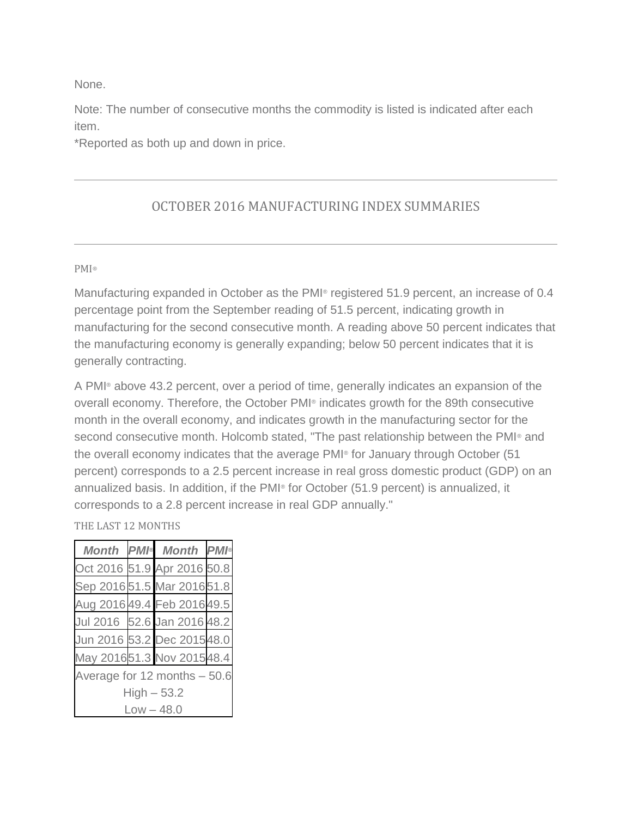None.

Note: The number of consecutive months the commodity is listed is indicated after each item.

\*Reported as both up and down in price.

# OCTOBER 2016 MANUFACTURING INDEX SUMMARIES

#### PMI®

Manufacturing expanded in October as the PMI® registered 51.9 percent, an increase of 0.4 percentage point from the September reading of 51.5 percent, indicating growth in manufacturing for the second consecutive month. A reading above 50 percent indicates that the manufacturing economy is generally expanding; below 50 percent indicates that it is generally contracting.

A PMI® above 43.2 percent, over a period of time, generally indicates an expansion of the overall economy. Therefore, the October PMI® indicates growth for the 89th consecutive month in the overall economy, and indicates growth in the manufacturing sector for the second consecutive month. Holcomb stated, "The past relationship between the PMI® and the overall economy indicates that the average PMI® for January through October (51 percent) corresponds to a 2.5 percent increase in real gross domestic product (GDP) on an annualized basis. In addition, if the PMI® for October (51.9 percent) is annualized, it corresponds to a 2.8 percent increase in real GDP annually."

THE LAST 12 MONTHS

|                              |  | <b>Month PMI<sup>s</sup> Month PMIs</b> |  |  |  |  |
|------------------------------|--|-----------------------------------------|--|--|--|--|
| Oct 2016 51.9 Apr 2016 50.8  |  |                                         |  |  |  |  |
| Sep 2016 51.5 Mar 2016 51.8  |  |                                         |  |  |  |  |
| Aug 2016 49.4 Feb 2016 49.5  |  |                                         |  |  |  |  |
| Jul 2016 52.6 Jan 2016 48.2  |  |                                         |  |  |  |  |
| Jun 2016 53.2 Dec 2015 48.0  |  |                                         |  |  |  |  |
| May 201651.3 Nov 201548.4    |  |                                         |  |  |  |  |
| Average for 12 months - 50.6 |  |                                         |  |  |  |  |
| $High-53.2$                  |  |                                         |  |  |  |  |
|                              |  | Low – 48.0                              |  |  |  |  |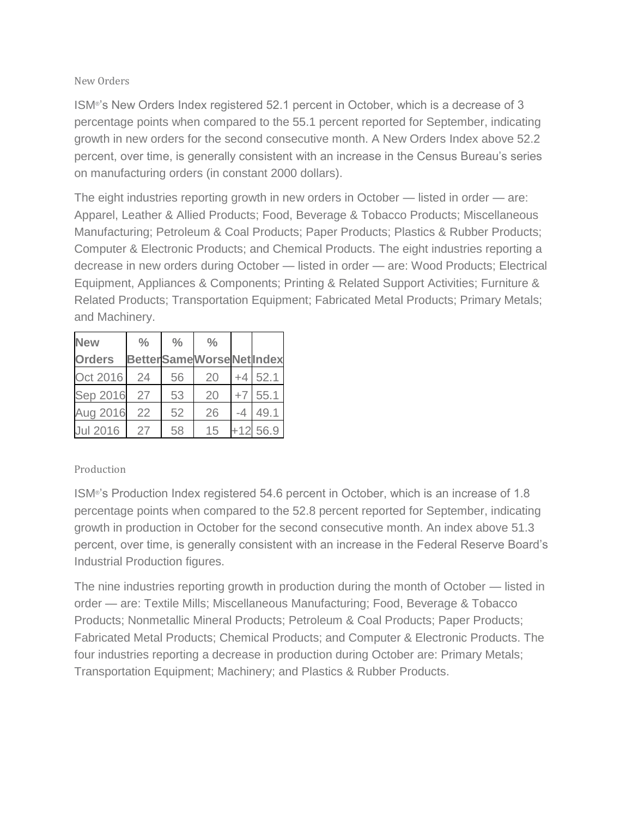### New Orders

ISM®'s New Orders Index registered 52.1 percent in October, which is a decrease of 3 percentage points when compared to the 55.1 percent reported for September, indicating growth in new orders for the second consecutive month. A New Orders Index above 52.2 percent, over time, is generally consistent with an increase in the Census Bureau's series on manufacturing orders (in constant 2000 dollars).

The eight industries reporting growth in new orders in October — listed in order — are: Apparel, Leather & Allied Products; Food, Beverage & Tobacco Products; Miscellaneous Manufacturing; Petroleum & Coal Products; Paper Products; Plastics & Rubber Products; Computer & Electronic Products; and Chemical Products. The eight industries reporting a decrease in new orders during October — listed in order — are: Wood Products; Electrical Equipment, Appliances & Components; Printing & Related Support Activities; Furniture & Related Products; Transportation Equipment; Fabricated Metal Products; Primary Metals; and Machinery.

| <b>New</b>    | $\frac{0}{0}$ | $\frac{0}{0}$ | $\frac{0}{0}$                  |      |           |
|---------------|---------------|---------------|--------------------------------|------|-----------|
| <b>Orders</b> |               |               | <b>BetterSameWorseNetIndex</b> |      |           |
| Oct 2016      | 24            | 56            | 20                             | $+4$ | 52.1      |
| Sep 2016      | 27            | 53            | 20                             | $+7$ | 55.1      |
| Aug 2016      | 22            | 52            | 26                             | $-4$ | 49.1      |
| Jul 2016      | 27            | 58            | 15                             |      | $+1256.9$ |

# Production

ISM®'s Production Index registered 54.6 percent in October, which is an increase of 1.8 percentage points when compared to the 52.8 percent reported for September, indicating growth in production in October for the second consecutive month. An index above 51.3 percent, over time, is generally consistent with an increase in the Federal Reserve Board's Industrial Production figures.

The nine industries reporting growth in production during the month of October — listed in order — are: Textile Mills; Miscellaneous Manufacturing; Food, Beverage & Tobacco Products; Nonmetallic Mineral Products; Petroleum & Coal Products; Paper Products; Fabricated Metal Products; Chemical Products; and Computer & Electronic Products. The four industries reporting a decrease in production during October are: Primary Metals; Transportation Equipment; Machinery; and Plastics & Rubber Products.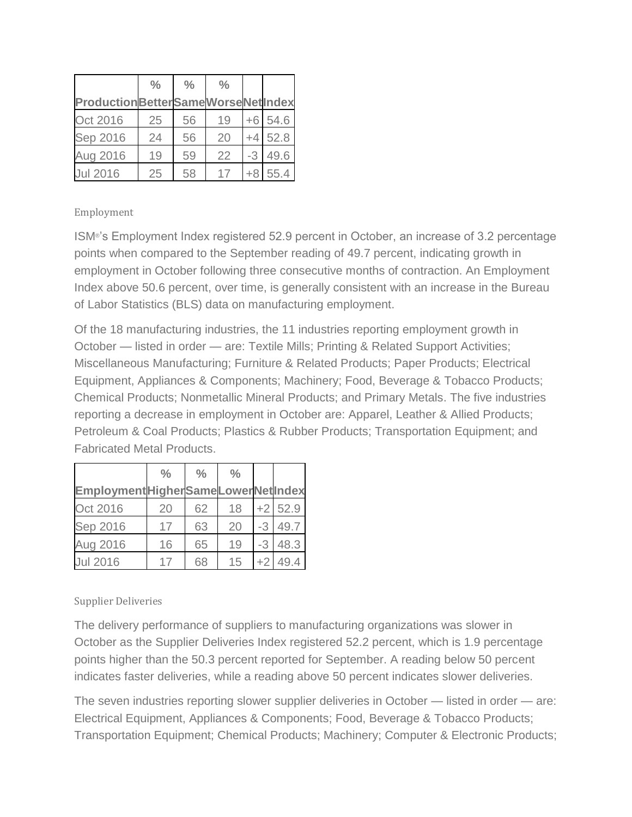|                                          | $\frac{0}{0}$ | $\frac{0}{0}$ | $\frac{0}{0}$ |      |      |
|------------------------------------------|---------------|---------------|---------------|------|------|
| <b>ProductionBetterSameWorseNetIndex</b> |               |               |               |      |      |
| Oct 2016                                 | 25            | 56            | 19            | $+6$ | 54.6 |
| Sep 2016                                 | 24            | 56            | 20            | $+4$ | 52.8 |
| Aug 2016                                 | 19            | 59            | 22            | -3   | 49.6 |
| <b>Jul 2016</b>                          | 25            | 58            | 17            | $+8$ | 55.4 |

# Employment

ISM®'s Employment Index registered 52.9 percent in October, an increase of 3.2 percentage points when compared to the September reading of 49.7 percent, indicating growth in employment in October following three consecutive months of contraction. An Employment Index above 50.6 percent, over time, is generally consistent with an increase in the Bureau of Labor Statistics (BLS) data on manufacturing employment.

Of the 18 manufacturing industries, the 11 industries reporting employment growth in October — listed in order — are: Textile Mills; Printing & Related Support Activities; Miscellaneous Manufacturing; Furniture & Related Products; Paper Products; Electrical Equipment, Appliances & Components; Machinery; Food, Beverage & Tobacco Products; Chemical Products; Nonmetallic Mineral Products; and Primary Metals. The five industries reporting a decrease in employment in October are: Apparel, Leather & Allied Products; Petroleum & Coal Products; Plastics & Rubber Products; Transportation Equipment; and Fabricated Metal Products.

|                                        | $\frac{0}{0}$ | $\frac{0}{0}$ | $\frac{0}{0}$ |      |           |
|----------------------------------------|---------------|---------------|---------------|------|-----------|
| Employment Higher Same Lower Net Index |               |               |               |      |           |
| Oct 2016                               | 20            | 62            | 18            |      | $+2$ 52.9 |
| Sep 2016                               | 17            | 63            | 20            | $-3$ | 49.7      |
| Aug 2016                               | 16            | 65            | 19            | $-3$ | 48.3      |
| <b>Jul 2016</b>                        | 17            | 68            | 15            | $+2$ | 49.4      |

# Supplier Deliveries

The delivery performance of suppliers to manufacturing organizations was slower in October as the Supplier Deliveries Index registered 52.2 percent, which is 1.9 percentage points higher than the 50.3 percent reported for September. A reading below 50 percent indicates faster deliveries, while a reading above 50 percent indicates slower deliveries.

The seven industries reporting slower supplier deliveries in October — listed in order — are: Electrical Equipment, Appliances & Components; Food, Beverage & Tobacco Products; Transportation Equipment; Chemical Products; Machinery; Computer & Electronic Products;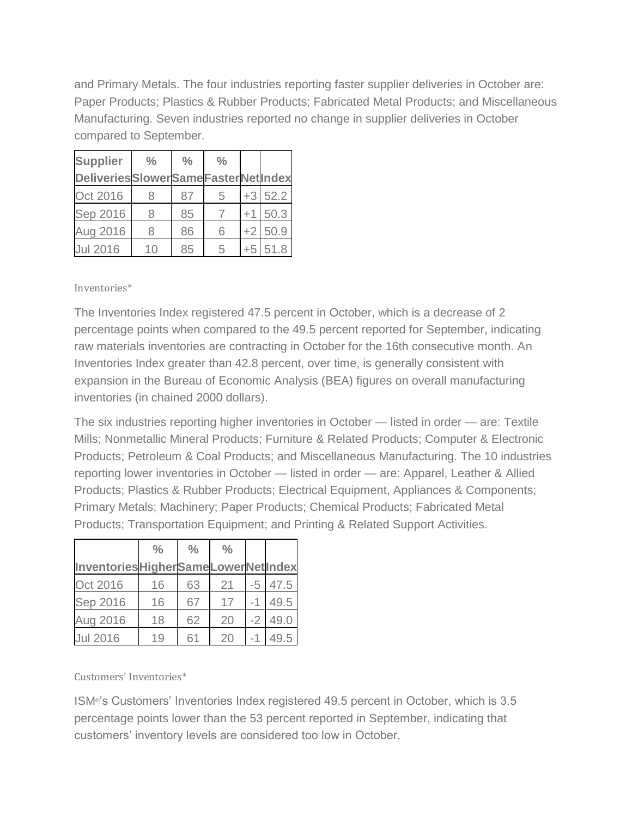and Primary Metals. The four industries reporting faster supplier deliveries in October are: Paper Products; Plastics & Rubber Products; Fabricated Metal Products; and Miscellaneous Manufacturing. Seven industries reported no change in supplier deliveries in October compared to September.

| <b>Supplier</b>                    | $\frac{0}{0}$ | $\frac{0}{0}$ | $\frac{0}{0}$ |      |           |
|------------------------------------|---------------|---------------|---------------|------|-----------|
| DeliveriesSlowerSameFasterNetIndex |               |               |               |      |           |
| Oct 2016                           |               | 87            | 5             |      | $+3$ 52.2 |
| Sep 2016                           | 8             | 85            |               | $+1$ | 50.3      |
| Aug 2016                           | 8             | 86            | 6             |      | $+2$ 50.9 |
| <b>Jul 2016</b>                    | 10            | 85            | 5             | $+5$ | 51.8      |

#### Inventories\*

The Inventories Index registered 47.5 percent in October, which is a decrease of 2 percentage points when compared to the 49.5 percent reported for September, indicating raw materials inventories are contracting in October for the 16th consecutive month. An Inventories Index greater than 42.8 percent, over time, is generally consistent with expansion in the Bureau of Economic Analysis (BEA) figures on overall manufacturing inventories (in chained 2000 dollars).

The six industries reporting higher inventories in October — listed in order — are: Textile Mills; Nonmetallic Mineral Products; Furniture & Related Products; Computer & Electronic Products; Petroleum & Coal Products; and Miscellaneous Manufacturing. The 10 industries reporting lower inventories in October — listed in order — are: Apparel, Leather & Allied Products; Plastics & Rubber Products; Electrical Equipment, Appliances & Components; Primary Metals; Machinery; Paper Products; Chemical Products; Fabricated Metal Products; Transportation Equipment; and Printing & Related Support Activities.

|                                         | $\frac{0}{0}$ | $\frac{0}{0}$ | $\frac{0}{0}$ |      |      |
|-----------------------------------------|---------------|---------------|---------------|------|------|
| Inventories Higher Same Lower Net Index |               |               |               |      |      |
| Oct 2016                                | 16            | 63            | 21            | -5   | 47.5 |
| Sep 2016                                | 16            | 67            | 17            | -1   | 49.5 |
| Aug 2016                                | 18            | 62            | 20            | $-2$ | 49.0 |
| <b>Jul 2016</b>                         | 19            | 61            | 20            |      | 49.5 |

Customers' Inventories\*

ISM®'s Customers' Inventories Index registered 49.5 percent in October, which is 3.5 percentage points lower than the 53 percent reported in September, indicating that customers' inventory levels are considered too low in October.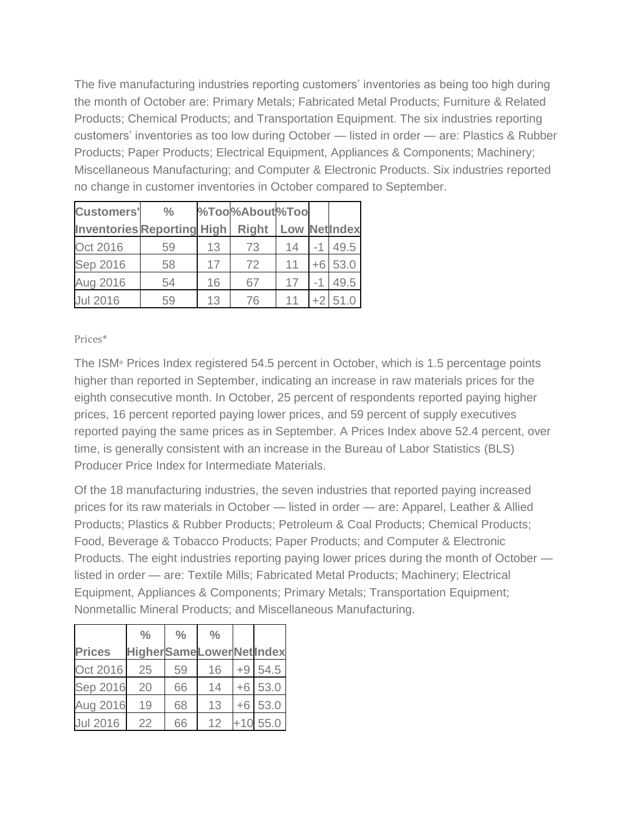The five manufacturing industries reporting customers' inventories as being too high during the month of October are: Primary Metals; Fabricated Metal Products; Furniture & Related Products; Chemical Products; and Transportation Equipment. The six industries reporting customers' inventories as too low during October — listed in order — are: Plastics & Rubber Products; Paper Products; Electrical Equipment, Appliances & Components; Machinery; Miscellaneous Manufacturing; and Computer & Electronic Products. Six industries reported no change in customer inventories in October compared to September.

| <b>Customers'</b>                 | $\frac{0}{0}$ |    | %Too%About%Too |    |                     |
|-----------------------------------|---------------|----|----------------|----|---------------------|
| <b>Inventories Reporting High</b> |               |    | Right          |    | <b>Low NetIndex</b> |
| Oct 2016                          | 59            | 13 | 73             | 14 | 49.5                |
| Sep 2016                          | 58            | 17 | 72             | 11 | $+6$ 53.0           |
| Aug 2016                          | 54            | 16 | 67             | 17 | 49.5                |
| <b>Jul 2016</b>                   | 59            | 13 | 76             | 11 | $+2$ 51.0           |

Prices\*

The ISM® Prices Index registered 54.5 percent in October, which is 1.5 percentage points higher than reported in September, indicating an increase in raw materials prices for the eighth consecutive month. In October, 25 percent of respondents reported paying higher prices, 16 percent reported paying lower prices, and 59 percent of supply executives reported paying the same prices as in September. A Prices Index above 52.4 percent, over time, is generally consistent with an increase in the Bureau of Labor Statistics (BLS) Producer Price Index for Intermediate Materials.

Of the 18 manufacturing industries, the seven industries that reported paying increased prices for its raw materials in October — listed in order — are: Apparel, Leather & Allied Products; Plastics & Rubber Products; Petroleum & Coal Products; Chemical Products; Food, Beverage & Tobacco Products; Paper Products; and Computer & Electronic Products. The eight industries reporting paying lower prices during the month of October listed in order — are: Textile Mills; Fabricated Metal Products; Machinery; Electrical Equipment, Appliances & Components; Primary Metals; Transportation Equipment; Nonmetallic Mineral Products; and Miscellaneous Manufacturing.

|                 | $\frac{0}{0}$                  | $\frac{0}{0}$ | $\frac{0}{0}$ |       |      |
|-----------------|--------------------------------|---------------|---------------|-------|------|
| <b>Prices</b>   | <b>HigherSameLowerNetIndex</b> |               |               |       |      |
| Oct 2016        | 25                             | 59            | 16            | $+9$  | 54.5 |
| Sep 2016        | 20                             | 66            | 14            | $+6$  | 53.0 |
| Aug 2016        | 19                             | 68            | 13            | $+6$  | 53.0 |
| <b>Jul 2016</b> | 22                             | 66            | 12            | $+10$ | 55.0 |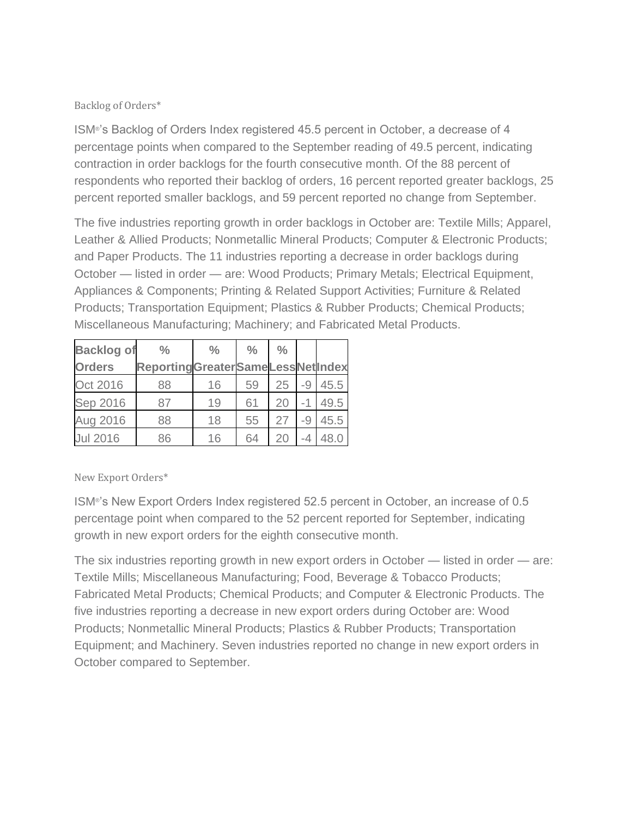### Backlog of Orders\*

ISM®'s Backlog of Orders Index registered 45.5 percent in October, a decrease of 4 percentage points when compared to the September reading of 49.5 percent, indicating contraction in order backlogs for the fourth consecutive month. Of the 88 percent of respondents who reported their backlog of orders, 16 percent reported greater backlogs, 25 percent reported smaller backlogs, and 59 percent reported no change from September.

The five industries reporting growth in order backlogs in October are: Textile Mills; Apparel, Leather & Allied Products; Nonmetallic Mineral Products; Computer & Electronic Products; and Paper Products. The 11 industries reporting a decrease in order backlogs during October — listed in order — are: Wood Products; Primary Metals; Electrical Equipment, Appliances & Components; Printing & Related Support Activities; Furniture & Related Products; Transportation Equipment; Plastics & Rubber Products; Chemical Products; Miscellaneous Manufacturing; Machinery; and Fabricated Metal Products.

| <b>Backlog of</b> | $\frac{0}{0}$                    | $\frac{0}{0}$ | $\frac{0}{0}$ | $\frac{0}{0}$ |    |      |
|-------------------|----------------------------------|---------------|---------------|---------------|----|------|
| <b>Orders</b>     | ReportingGreaterSameLessNetIndex |               |               |               |    |      |
| Oct 2016          | 88                               | 16            | 59            | 25            | -9 | 45.5 |
| Sep 2016          | 87                               | 19            | 61            | 20            |    | 49.5 |
| Aug 2016          | 88                               | 18            | 55            | 27            | -9 | 45.5 |
| <b>Jul 2016</b>   | 86                               | 16            | 64            | 20            |    |      |

# New Export Orders\*

ISM®'s New Export Orders Index registered 52.5 percent in October, an increase of 0.5 percentage point when compared to the 52 percent reported for September, indicating growth in new export orders for the eighth consecutive month.

The six industries reporting growth in new export orders in October — listed in order — are: Textile Mills; Miscellaneous Manufacturing; Food, Beverage & Tobacco Products; Fabricated Metal Products; Chemical Products; and Computer & Electronic Products. The five industries reporting a decrease in new export orders during October are: Wood Products; Nonmetallic Mineral Products; Plastics & Rubber Products; Transportation Equipment; and Machinery. Seven industries reported no change in new export orders in October compared to September.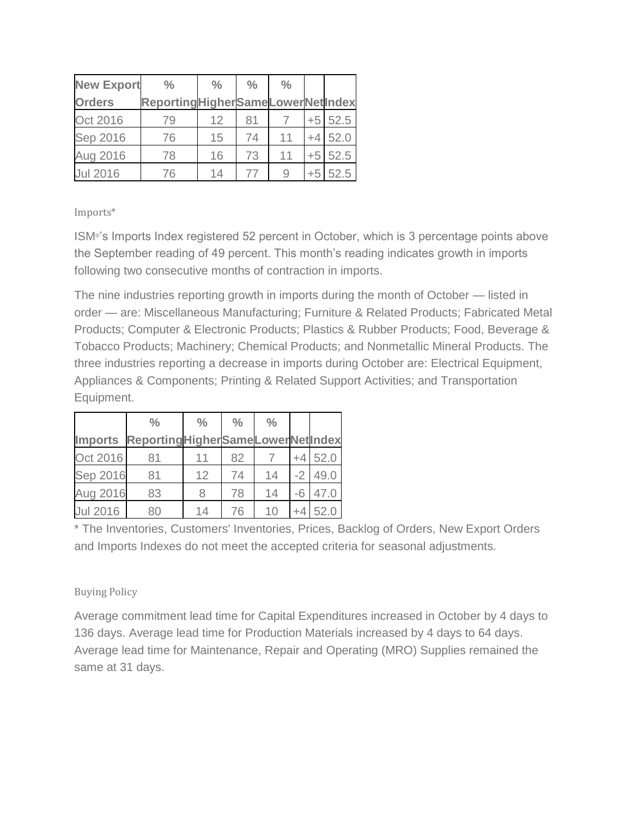| <b>New Export</b> | $\frac{0}{0}$                    | $\frac{0}{0}$ | $\frac{0}{0}$ | $\frac{0}{0}$ |      |           |
|-------------------|----------------------------------|---------------|---------------|---------------|------|-----------|
| <b>Orders</b>     | ReportingHigherSameLowerNetIndex |               |               |               |      |           |
| Oct 2016          | 79                               | 12            | 81            |               |      | $+5$ 52.5 |
| Sep 2016          | 76                               | 15            | 74            | 11            |      | $+4$ 52.0 |
| Aug 2016          | 78                               | 16            | 73            | 11            |      | $+5$ 52.5 |
| <b>Jul 2016</b>   | 76                               | 14            | 77            | 9             | $+5$ | 52.5      |

# Imports\*

ISM®'s Imports Index registered 52 percent in October, which is 3 percentage points above the September reading of 49 percent. This month's reading indicates growth in imports following two consecutive months of contraction in imports.

The nine industries reporting growth in imports during the month of October — listed in order — are: Miscellaneous Manufacturing; Furniture & Related Products; Fabricated Metal Products; Computer & Electronic Products; Plastics & Rubber Products; Food, Beverage & Tobacco Products; Machinery; Chemical Products; and Nonmetallic Mineral Products. The three industries reporting a decrease in imports during October are: Electrical Equipment, Appliances & Components; Printing & Related Support Activities; and Transportation Equipment.

|          | $\frac{0}{0}$                                 | $\frac{0}{0}$ | $\frac{0}{0}$ | $\frac{0}{0}$ |      |      |
|----------|-----------------------------------------------|---------------|---------------|---------------|------|------|
|          | Imports Reporting Higher Same Lower Net Index |               |               |               |      |      |
| Oct 2016 | 81                                            | 11            | 82            |               |      | 52.0 |
| Sep 2016 | 81                                            | 12            | 74            | 14            | $-2$ | 49.0 |
| Aug 2016 | 83                                            | 8             | 78            | 14            |      | 47.0 |
| Jul 2016 | 80                                            | 14            | 76            | 10            |      | 52.0 |

\* The Inventories, Customers' Inventories, Prices, Backlog of Orders, New Export Orders and Imports Indexes do not meet the accepted criteria for seasonal adjustments.

# Buying Policy

Average commitment lead time for Capital Expenditures increased in October by 4 days to 136 days. Average lead time for Production Materials increased by 4 days to 64 days. Average lead time for Maintenance, Repair and Operating (MRO) Supplies remained the same at 31 days.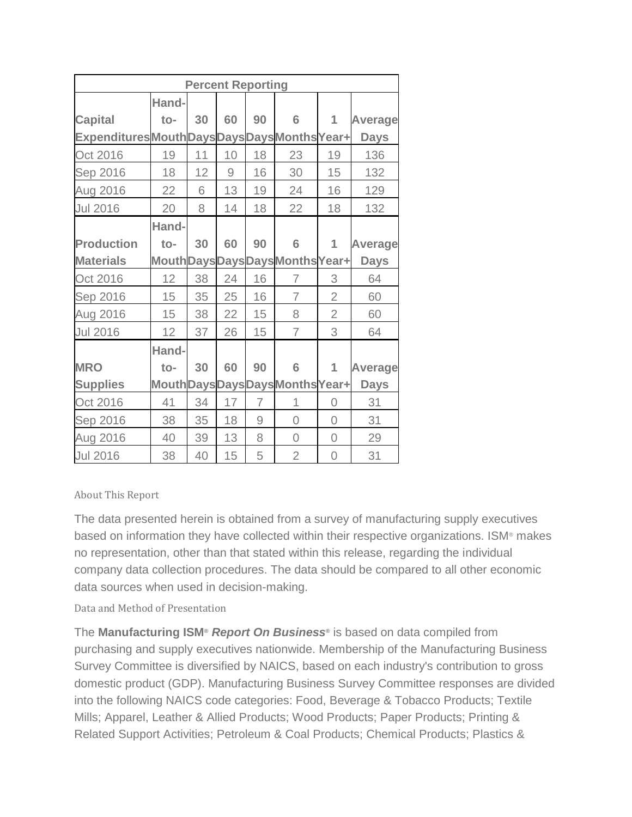| <b>Percent Reporting</b>                 |       |    |    |                |                                   |                |                |
|------------------------------------------|-------|----|----|----------------|-----------------------------------|----------------|----------------|
|                                          | Hand- |    |    |                |                                   |                |                |
| <b>Capital</b>                           | $to-$ | 30 | 60 | 90             | 6                                 | 1              | <b>Average</b> |
| ExpendituresMouthDaysDaysDaysMonthsYear+ |       |    |    |                |                                   |                | <b>Days</b>    |
| Oct 2016                                 | 19    | 11 | 10 | 18             | 23                                | 19             | 136            |
| Sep 2016                                 | 18    | 12 | 9  | 16             | 30                                | 15             | 132            |
| Aug 2016                                 | 22    | 6  | 13 | 19             | 24                                | 16             | 129            |
| <b>Jul 2016</b>                          | 20    | 8  | 14 | 18             | 22                                | 18             | 132            |
|                                          | Hand- |    |    |                |                                   |                |                |
| <b>Production</b>                        | to-   | 30 | 60 | 90             | 6                                 | 1              | Average        |
| <b>Materials</b>                         |       |    |    |                | Mouth Days Days Days Months Year+ |                | <b>Days</b>    |
| Oct 2016                                 | 12    | 38 | 24 | 16             | 7                                 | 3              | 64             |
| Sep 2016                                 | 15    | 35 | 25 | 16             | $\overline{7}$                    | $\overline{2}$ | 60             |
| Aug 2016                                 | 15    | 38 | 22 | 15             | 8                                 | $\overline{2}$ | 60             |
| <b>Jul 2016</b>                          | 12    | 37 | 26 | 15             | $\overline{7}$                    | 3              | 64             |
|                                          | Hand- |    |    |                |                                   |                |                |
| <b>MRO</b>                               | $to-$ | 30 | 60 | 90             | 6                                 | 1              | Average        |
| <b>Supplies</b>                          |       |    |    |                | Mouth Days Days Days Months Year+ |                | <b>Days</b>    |
| Oct 2016                                 | 41    | 34 | 17 | $\overline{7}$ | 1                                 | $\Omega$       | 31             |
| Sep 2016                                 | 38    | 35 | 18 | 9              | 0                                 | 0              | 31             |
| Aug 2016                                 | 40    | 39 | 13 | 8              | $\overline{0}$                    | $\sqrt{a}$     | 29             |
| <b>Jul 2016</b>                          | 38    | 40 | 15 | 5              | $\overline{2}$                    | $\overline{O}$ | 31             |

# About This Report

The data presented herein is obtained from a survey of manufacturing supply executives based on information they have collected within their respective organizations. ISM® makes no representation, other than that stated within this release, regarding the individual company data collection procedures. The data should be compared to all other economic data sources when used in decision-making.

Data and Method of Presentation

The **Manufacturing ISM®** *Report On Business***®** is based on data compiled from purchasing and supply executives nationwide. Membership of the Manufacturing Business Survey Committee is diversified by NAICS, based on each industry's contribution to gross domestic product (GDP). Manufacturing Business Survey Committee responses are divided into the following NAICS code categories: Food, Beverage & Tobacco Products; Textile Mills; Apparel, Leather & Allied Products; Wood Products; Paper Products; Printing & Related Support Activities; Petroleum & Coal Products; Chemical Products; Plastics &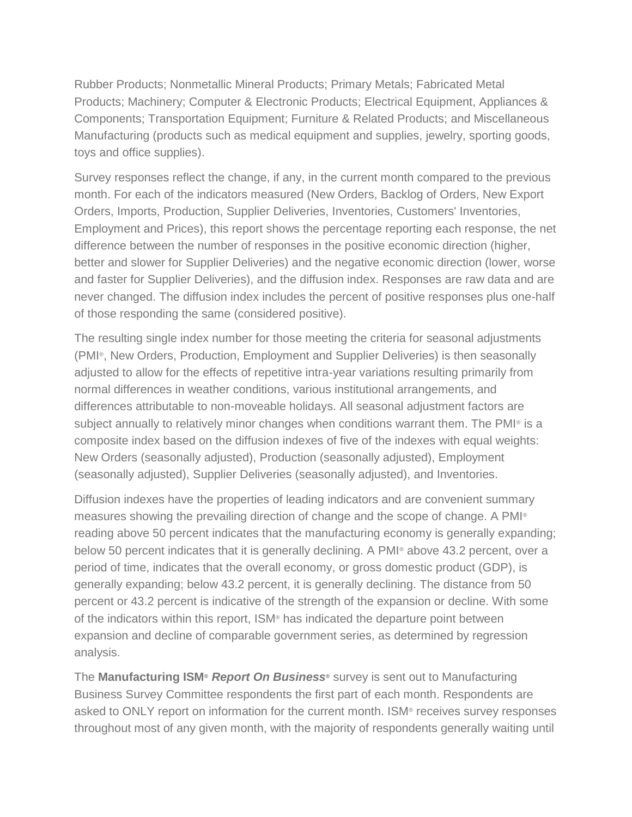Rubber Products; Nonmetallic Mineral Products; Primary Metals; Fabricated Metal Products; Machinery; Computer & Electronic Products; Electrical Equipment, Appliances & Components; Transportation Equipment; Furniture & Related Products; and Miscellaneous Manufacturing (products such as medical equipment and supplies, jewelry, sporting goods, toys and office supplies).

Survey responses reflect the change, if any, in the current month compared to the previous month. For each of the indicators measured (New Orders, Backlog of Orders, New Export Orders, Imports, Production, Supplier Deliveries, Inventories, Customers' Inventories, Employment and Prices), this report shows the percentage reporting each response, the net difference between the number of responses in the positive economic direction (higher, better and slower for Supplier Deliveries) and the negative economic direction (lower, worse and faster for Supplier Deliveries), and the diffusion index. Responses are raw data and are never changed. The diffusion index includes the percent of positive responses plus one-half of those responding the same (considered positive).

The resulting single index number for those meeting the criteria for seasonal adjustments (PMI®, New Orders, Production, Employment and Supplier Deliveries) is then seasonally adjusted to allow for the effects of repetitive intra-year variations resulting primarily from normal differences in weather conditions, various institutional arrangements, and differences attributable to non-moveable holidays. All seasonal adjustment factors are subject annually to relatively minor changes when conditions warrant them. The PMI<sup>®</sup> is a composite index based on the diffusion indexes of five of the indexes with equal weights: New Orders (seasonally adjusted), Production (seasonally adjusted), Employment (seasonally adjusted), Supplier Deliveries (seasonally adjusted), and Inventories.

Diffusion indexes have the properties of leading indicators and are convenient summary measures showing the prevailing direction of change and the scope of change. A PMI® reading above 50 percent indicates that the manufacturing economy is generally expanding; below 50 percent indicates that it is generally declining. A PMI® above 43.2 percent, over a period of time, indicates that the overall economy, or gross domestic product (GDP), is generally expanding; below 43.2 percent, it is generally declining. The distance from 50 percent or 43.2 percent is indicative of the strength of the expansion or decline. With some of the indicators within this report, ISM® has indicated the departure point between expansion and decline of comparable government series, as determined by regression analysis.

The **Manufacturing ISM®** *Report On Business***®** survey is sent out to Manufacturing Business Survey Committee respondents the first part of each month. Respondents are asked to ONLY report on information for the current month. ISM® receives survey responses throughout most of any given month, with the majority of respondents generally waiting until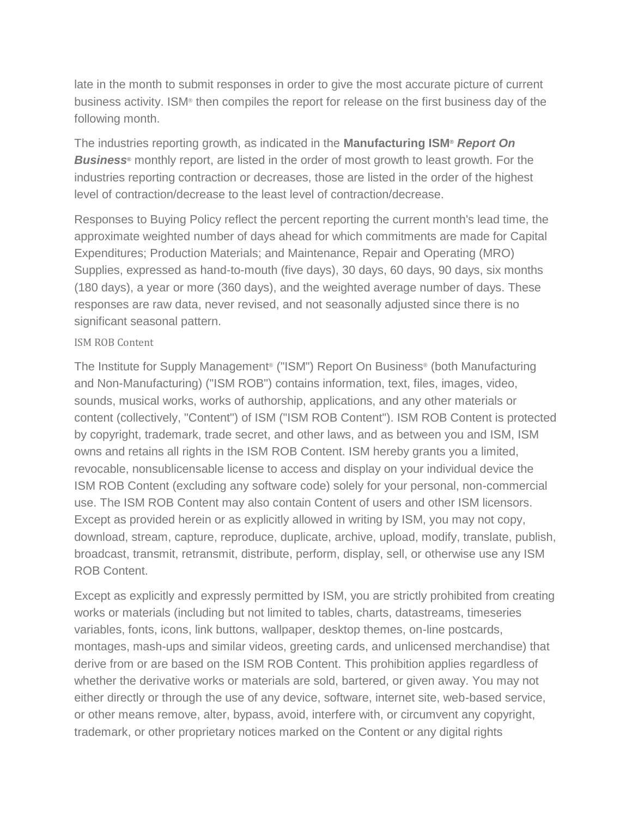late in the month to submit responses in order to give the most accurate picture of current business activity. ISM® then compiles the report for release on the first business day of the following month.

The industries reporting growth, as indicated in the **Manufacturing ISM®** *Report On Business***®** monthly report, are listed in the order of most growth to least growth. For the industries reporting contraction or decreases, those are listed in the order of the highest level of contraction/decrease to the least level of contraction/decrease.

Responses to Buying Policy reflect the percent reporting the current month's lead time, the approximate weighted number of days ahead for which commitments are made for Capital Expenditures; Production Materials; and Maintenance, Repair and Operating (MRO) Supplies, expressed as hand-to-mouth (five days), 30 days, 60 days, 90 days, six months (180 days), a year or more (360 days), and the weighted average number of days. These responses are raw data, never revised, and not seasonally adjusted since there is no significant seasonal pattern.

### ISM ROB Content

The Institute for Supply Management® ("ISM") Report On Business® (both Manufacturing and Non-Manufacturing) ("ISM ROB") contains information, text, files, images, video, sounds, musical works, works of authorship, applications, and any other materials or content (collectively, "Content") of ISM ("ISM ROB Content"). ISM ROB Content is protected by copyright, trademark, trade secret, and other laws, and as between you and ISM, ISM owns and retains all rights in the ISM ROB Content. ISM hereby grants you a limited, revocable, nonsublicensable license to access and display on your individual device the ISM ROB Content (excluding any software code) solely for your personal, non-commercial use. The ISM ROB Content may also contain Content of users and other ISM licensors. Except as provided herein or as explicitly allowed in writing by ISM, you may not copy, download, stream, capture, reproduce, duplicate, archive, upload, modify, translate, publish, broadcast, transmit, retransmit, distribute, perform, display, sell, or otherwise use any ISM ROB Content.

Except as explicitly and expressly permitted by ISM, you are strictly prohibited from creating works or materials (including but not limited to tables, charts, datastreams, timeseries variables, fonts, icons, link buttons, wallpaper, desktop themes, on-line postcards, montages, mash-ups and similar videos, greeting cards, and unlicensed merchandise) that derive from or are based on the ISM ROB Content. This prohibition applies regardless of whether the derivative works or materials are sold, bartered, or given away. You may not either directly or through the use of any device, software, internet site, web-based service, or other means remove, alter, bypass, avoid, interfere with, or circumvent any copyright, trademark, or other proprietary notices marked on the Content or any digital rights